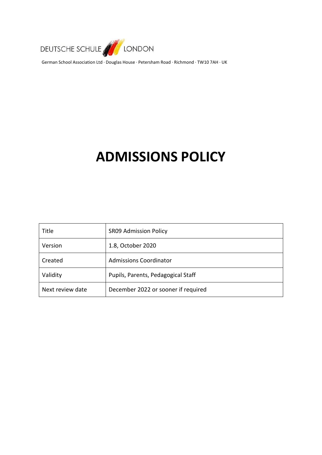

German School Association Ltd ∙ Douglas House ∙ Petersham Road ∙ Richmond ∙ TW10 7AH ∙ UK

# **ADMISSIONS POLICY**

| Title            | <b>SR09 Admission Policy</b>        |
|------------------|-------------------------------------|
| Version          | 1.8, October 2020                   |
| Created          | <b>Admissions Coordinator</b>       |
| Validity         | Pupils, Parents, Pedagogical Staff  |
| Next review date | December 2022 or sooner if required |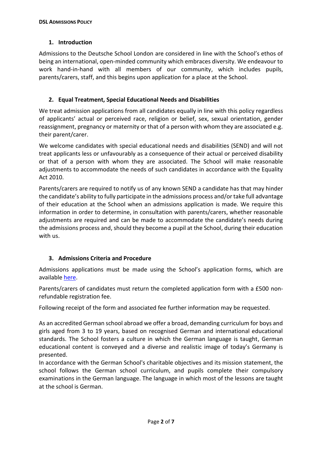## **1. Introduction**

Admissions to the Deutsche School London are considered in line with the School's ethos of being an international, open-minded community which embraces diversity. We endeavour to work hand-in-hand with all members of our community, which includes pupils, parents/carers, staff, and this begins upon application for a place at the School.

# **2. Equal Treatment, Special Educational Needs and Disabilities**

We treat admission applications from all candidates equally in line with this policy regardless of applicants' actual or perceived race, religion or belief, sex, sexual orientation, gender reassignment, pregnancy or maternity or that of a person with whom they are associated e.g. their parent/carer.

We welcome candidates with special educational needs and disabilities (SEND) and will not treat applicants less or unfavourably as a consequence of their actual or perceived disability or that of a person with whom they are associated. The School will make reasonable adjustments to accommodate the needs of such candidates in accordance with the Equality Act 2010.

Parents/carers are required to notify us of any known SEND a candidate has that may hinder the candidate's ability to fully participate in the admissions process and/ortake full advantage of their education at the School when an admissions application is made. We require this information in order to determine, in consultation with parents/carers, whether reasonable adjustments are required and can be made to accommodate the candidate's needs during the admissions process and, should they become a pupil at the School, during their education with us.

# **3. Admissions Criteria and Procedure**

Admissions applications must be made using the School's application forms, which are available [here.](https://www.dslondon.org.uk/admissions/registration-deregistration)

Parents/carers of candidates must return the completed application form with a £500 nonrefundable registration fee.

Following receipt of the form and associated fee further information may be requested.

As an accredited German school abroad we offer a broad, demanding curriculum for boys and girls aged from 3 to 19 years, based on recognised German and international educational standards. The School fosters a culture in which the German language is taught, German educational content is conveyed and a diverse and realistic image of today's Germany is presented.

In accordance with the German School's charitable objectives and its mission statement, the school follows the German school curriculum, and pupils complete their compulsory examinations in the German language. The language in which most of the lessons are taught at the school is German.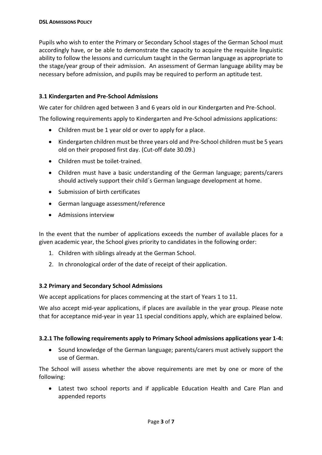Pupils who wish to enter the Primary or Secondary School stages of the German School must accordingly have, or be able to demonstrate the capacity to acquire the requisite linguistic ability to follow the lessons and curriculum taught in the German language as appropriate to the stage/year group of their admission. An assessment of German language ability may be necessary before admission, and pupils may be required to perform an aptitude test.

# **3.1 Kindergarten and Pre-School Admissions**

We cater for children aged between 3 and 6 years old in our Kindergarten and Pre-School.

The following requirements apply to Kindergarten and Pre-School admissions applications:

- Children must be 1 year old or over to apply for a place.
- Kindergarten children must be three years old and Pre-School children must be 5 years old on their proposed first day. (Cut-off date 30.09.)
- Children must be toilet-trained.
- Children must have a basic understanding of the German language; parents/carers should actively support their child´s German language development at home.
- Submission of birth certificates
- German language assessment/reference
- Admissions interview

In the event that the number of applications exceeds the number of available places for a given academic year, the School gives priority to candidates in the following order:

- 1. Children with siblings already at the German School.
- 2. In chronological order of the date of receipt of their application.

#### **3.2 Primary and Secondary School Admissions**

We accept applications for places commencing at the start of Years 1 to 11.

We also accept mid-year applications, if places are available in the year group. Please note that for acceptance mid-year in year 11 special conditions apply, which are explained below.

#### **3.2.1 The following requirements apply to Primary School admissions applications year 1-4:**

 Sound knowledge of the German language; parents/carers must actively support the use of German.

The School will assess whether the above requirements are met by one or more of the following:

 Latest two school reports and if applicable Education Health and Care Plan and appended reports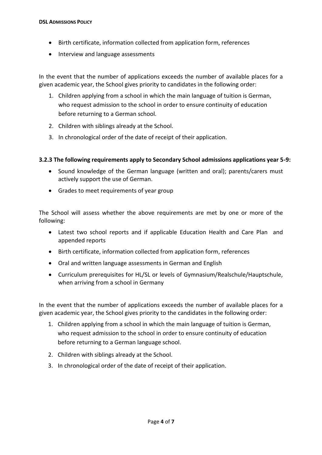- Birth certificate, information collected from application form, references
- Interview and language assessments

In the event that the number of applications exceeds the number of available places for a given academic year, the School gives priority to candidates in the following order:

- 1. Children applying from a school in which the main language of tuition is German, who request admission to the school in order to ensure continuity of education before returning to a German school.
- 2. Children with siblings already at the School.
- 3. In chronological order of the date of receipt of their application.

# **3.2.3 The following requirements apply to Secondary School admissions applications year 5-9:**

- Sound knowledge of the German language (written and oral); parents/carers must actively support the use of German.
- Grades to meet requirements of year group

The School will assess whether the above requirements are met by one or more of the following:

- Latest two school reports and if applicable Education Health and Care Plan and appended reports
- Birth certificate, information collected from application form, references
- Oral and written language assessments in German and English
- Curriculum prerequisites for HL/SL or levels of Gymnasium/Realschule/Hauptschule, when arriving from a school in Germany

In the event that the number of applications exceeds the number of available places for a given academic year, the School gives priority to the candidates in the following order:

- 1. Children applying from a school in which the main language of tuition is German, who request admission to the school in order to ensure continuity of education before returning to a German language school.
- 2. Children with siblings already at the School.
- 3. In chronological order of the date of receipt of their application.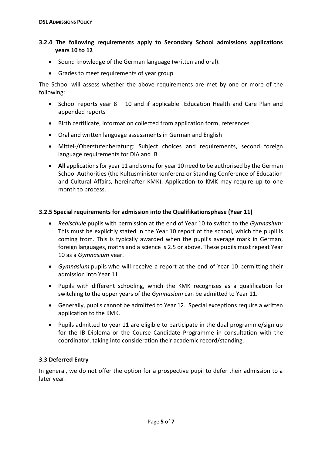# **3.2.4 The following requirements apply to Secondary School admissions applications years 10 to 12**

- Sound knowledge of the German language (written and oral).
- Grades to meet requirements of year group

The School will assess whether the above requirements are met by one or more of the following:

- School reports year  $8 10$  and if applicable Education Health and Care Plan and appended reports
- Birth certificate, information collected from application form, references
- Oral and written language assessments in German and English
- Mittel-/Oberstufenberatung: Subject choices and requirements, second foreign language requirements for DIA and IB
- All applications for year 11 and some for year 10 need to be authorised by the German School Authorities (the Kultusministerkonferenz or Standing Conference of Education and Cultural Affairs, hereinafter KMK). Application to KMK may require up to one month to process.

#### **3.2.5 Special requirements for admission into the Qualifikationsphase (Year 11)**

- *Realschule* pupils with permission at the end of Year 10 to switch to the *Gymnasium:* This must be explicitly stated in the Year 10 report of the school, which the pupil is coming from. This is typically awarded when the pupil's average mark in German, foreign languages, maths and a science is 2.5 or above. These pupils must repeat Year 10 as a *Gymnasium* year.
- *Gymnasium* pupils who will receive a report at the end of Year 10 permitting their admission into Year 11.
- Pupils with different schooling, which the KMK recognises as a qualification for switching to the upper years of the *Gymnasium* can be admitted to Year 11.
- Generally, pupils cannot be admitted to Year 12. Special exceptions require a written application to the KMK.
- Pupils admitted to year 11 are eligible to participate in the dual programme/sign up for the IB Diploma or the Course Candidate Programme in consultation with the coordinator, taking into consideration their academic record/standing.

# **3.3 Deferred Entry**

In general, we do not offer the option for a prospective pupil to defer their admission to a later year.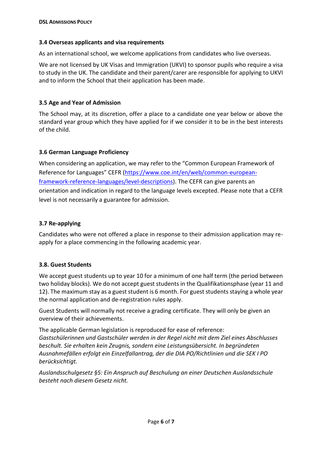#### **3.4 Overseas applicants and visa requirements**

As an international school, we welcome applications from candidates who live overseas.

We are not licensed by UK Visas and Immigration (UKVI) to sponsor pupils who require a visa to study in the UK. The candidate and their parent/carer are responsible for applying to UKVI and to inform the School that their application has been made.

#### **3.5 Age and Year of Admission**

The School may, at its discretion, offer a place to a candidate one year below or above the standard year group which they have applied for if we consider it to be in the best interests of the child.

## **3.6 German Language Proficiency**

When considering an application, we may refer to the "Common European Framework of Reference for Languages" CEFR ([https://www.coe.int/en/web/common-european](https://www.coe.int/en/web/common-european-framework-reference-languages/level-descriptions)[framework-reference-languages/level-descriptions\)](https://www.coe.int/en/web/common-european-framework-reference-languages/level-descriptions). The CEFR can give parents an orientation and indication in regard to the language levels excepted. Please note that a CEFR level is not necessarily a guarantee for admission.

## **3.7 Re-applying**

Candidates who were not offered a place in response to their admission application may reapply for a place commencing in the following academic year.

#### **3.8. Guest Students**

We accept guest students up to year 10 for a minimum of one half term (the period between two holiday blocks). We do not accept guest students in the Qualifikationsphase (year 11 and 12). The maximum stay as a guest student is 6 month. For guest students staying a whole year the normal application and de-registration rules apply.

Guest Students will normally not receive a grading certificate. They will only be given an overview of their achievements.

The applicable German legislation is reproduced for ease of reference: *Gastschülerinnen und Gastschüler werden in der Regel nicht mit dem Ziel eines Abschlusses beschult. Sie erhalten kein Zeugnis, sondern eine Leistungsübersicht. In begründeten Ausnahmefällen erfolgt ein Einzelfallantrag, der die DIA PO/Richtlinien und die SEK I PO berücksichtigt.*

*Auslandsschulgesetz §5: Ein Anspruch auf Beschulung an einer Deutschen Auslandsschule besteht nach diesem Gesetz nicht.*